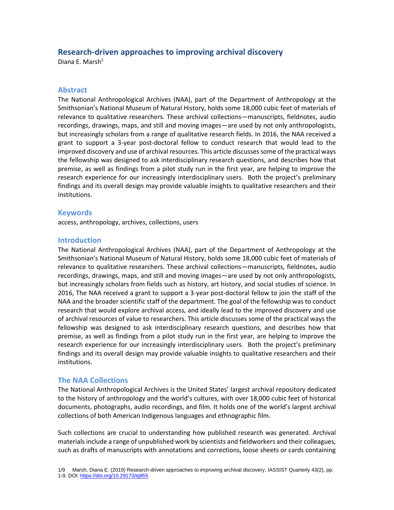# **Research-driven approaches to improving archival discovery**

Diana E. Marsh<sup>1</sup>

### **Abstract**

The National Anthropological Archives (NAA), part of the Department of Anthropology at the Smithsonian's National Museum of Natural History, holds some 18,000 cubic feet of materials of relevance to qualitative researchers. These archival collections—manuscripts, fieldnotes, audio recordings, drawings, maps, and still and moving images—are used by not only anthropologists, but increasingly scholars from a range of qualitative research fields. In 2016, the NAA received a grant to support a 3-year post-doctoral fellow to conduct research that would lead to the improved discovery and use of archival resources. This article discusses some of the practical ways the fellowship was designed to ask interdisciplinary research questions, and describes how that premise, as well as findings from a pilot study run in the first year, are helping to improve the research experience for our increasingly interdisciplinary users. Both the project's preliminary findings and its overall design may provide valuable insights to qualitative researchers and their institutions.

### **Keywords**

access, anthropology, archives, collections, users

### **Introduction**

The National Anthropological Archives (NAA), part of the Department of Anthropology at the Smithsonian's National Museum of Natural History, holds some 18,000 cubic feet of materials of relevance to qualitative researchers. These archival collections—manuscripts, fieldnotes, audio recordings, drawings, maps, and still and moving images—are used by not only anthropologists, but increasingly scholars from fields such as history, art history, and social studies of science. In 2016, The NAA received a grant to support a 3-year post-doctoral fellow to join the staff of the NAA and the broader scientific staff of the department. The goal of the fellowship was to conduct research that would explore archival access, and ideally lead to the improved discovery and use of archival resources of value to researchers. This article discusses some of the practical ways the fellowship was designed to ask interdisciplinary research questions, and describes how that premise, as well as findings from a pilot study run in the first year, are helping to improve the research experience for our increasingly interdisciplinary users. Both the project's preliminary findings and its overall design may provide valuable insights to qualitative researchers and their institutions.

## **The NAA Collections**

The National Anthropological Archives is the United States' largest archival repository dedicated to the history of anthropology and the world's cultures, with over 18,000 cubic feet of historical documents, photographs, audio recordings, and film. It holds one of the world's largest archival collections of both American Indigenous languages and ethnographic film.

Such collections are crucial to understanding how published research was generated. Archival materials include a range of unpublished work by scientists and fieldworkers and their colleagues, such as drafts of manuscripts with annotations and corrections, loose sheets or cards containing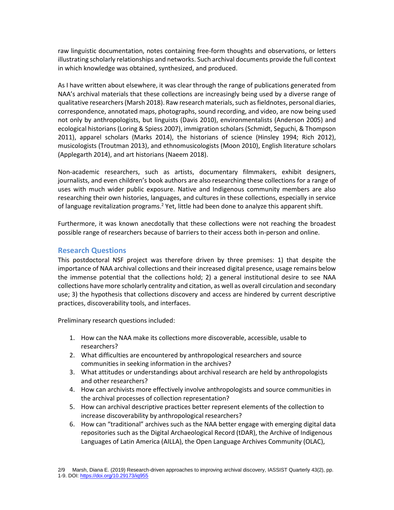raw linguistic documentation, notes containing free-form thoughts and observations, or letters illustrating scholarly relationships and networks. Such archival documents provide the full context in which knowledge was obtained, synthesized, and produced.

As I have written about elsewhere, it was clear through the range of publications generated from NAA's archival materials that these collections are increasingly being used by a diverse range of qualitative researchers(Marsh 2018). Raw research materials, such as fieldnotes, personal diaries, correspondence, annotated maps, photographs, sound recording, and video, are now being used not only by anthropologists, but linguists (Davis 2010), environmentalists (Anderson 2005) and ecological historians (Loring & Spiess 2007), immigration scholars (Schmidt, Seguchi, & Thompson 2011), apparel scholars (Marks 2014), the historians of science (Hinsley 1994; Rich 2012), musicologists (Troutman 2013), and ethnomusicologists (Moon 2010), English literature scholars (Applegarth 2014), and art historians (Naeem 2018).

Non-academic researchers, such as artists, documentary filmmakers, exhibit designers, journalists, and even children's book authors are also researching these collections for a range of uses with much wider public exposure. Native and Indigenous community members are also researching their own histories, languages, and cultures in these collections, especially in service of language revitalization programs.<sup>2</sup> Yet, little had been done to analyze this apparent shift.

Furthermore, it was known anecdotally that these collections were not reaching the broadest possible range of researchers because of barriers to their access both in-person and online.

## **Research Questions**

This postdoctoral NSF project was therefore driven by three premises: 1) that despite the importance of NAA archival collections and their increased digital presence, usage remains below the immense potential that the collections hold; 2) a general institutional desire to see NAA collections have more scholarly centrality and citation, as well as overall circulation and secondary use; 3) the hypothesis that collections discovery and access are hindered by current descriptive practices, discoverability tools, and interfaces.

Preliminary research questions included:

- 1. How can the NAA make its collections more discoverable, accessible, usable to researchers?
- 2. What difficulties are encountered by anthropological researchers and source communities in seeking information in the archives?
- 3. What attitudes or understandings about archival research are held by anthropologists and other researchers?
- 4. How can archivists more effectively involve anthropologists and source communities in the archival processes of collection representation?
- 5. How can archival descriptive practices better represent elements of the collection to increase discoverability by anthropological researchers?
- 6. How can "traditional" archives such as the NAA better engage with emerging digital data repositories such as the Digital Archaeological Record (tDAR), the Archive of Indigenous Languages of Latin America (AILLA), the Open Language Archives Community (OLAC),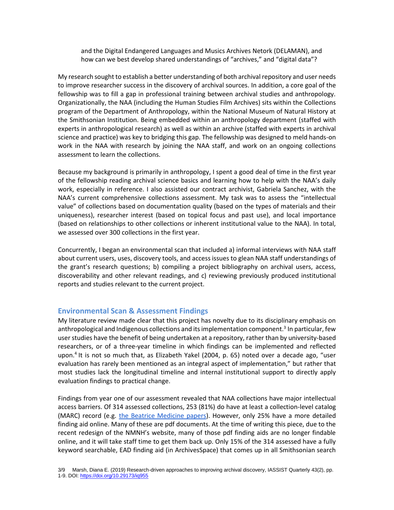and the Digital Endangered Languages and Musics Archives Netork (DELAMAN), and how can we best develop shared understandings of "archives," and "digital data"?

My research sought to establish a better understanding of both archival repository and user needs to improve researcher success in the discovery of archival sources. In addition, a core goal of the fellowship was to fill a gap in professional training between archival studies and anthropology. Organizationally, the NAA (including the Human Studies Film Archives) sits within the Collections program of the Department of Anthropology, within the National Museum of Natural History at the Smithsonian Institution. Being embedded within an anthropology department (staffed with experts in anthropological research) as well as within an archive (staffed with experts in archival science and practice) was key to bridging this gap. The fellowship was designed to meld hands-on work in the NAA with research by joining the NAA staff, and work on an ongoing collections assessment to learn the collections.

Because my background is primarily in anthropology, I spent a good deal of time in the first year of the fellowship reading archival science basics and learning how to help with the NAA's daily work, especially in reference. I also assisted our contract archivist, Gabriela Sanchez, with the NAA's current comprehensive collections assessment. My task was to assess the "intellectual value" of collections based on documentation quality (based on the types of materials and their uniqueness), researcher interest (based on topical focus and past use), and local importance (based on relationships to other collections or inherent institutional value to the NAA). In total, we assessed over 300 collections in the first year.

Concurrently, I began an environmental scan that included a) informal interviews with NAA staff about current users, uses, discovery tools, and access issues to glean NAA staff understandings of the grant's research questions; b) compiling a project bibliography on archival users, access, discoverability and other relevant readings, and c) reviewing previously produced institutional reports and studies relevant to the current project.

#### **Environmental Scan & Assessment Findings**

My literature review made clear that this project has novelty due to its disciplinary emphasis on anthropological and Indigenous collections and its implementation component.<sup>3</sup> In particular, few user studies have the benefit of being undertaken at a repository, rather than by university-based researchers, or of a three-year timeline in which findings can be implemented and reflected upon.<sup>4</sup> It is not so much that, as Elizabeth Yakel (2004, p. 65) noted over a decade ago, "user evaluation has rarely been mentioned as an integral aspect of implementation," but rather that most studies lack the longitudinal timeline and internal institutional support to directly apply evaluation findings to practical change.

Findings from year one of our assessment revealed that NAA collections have major intellectual access barriers. Of 314 assessed collections, 253 (81%) do have at least a collection-level catalog (MARC) record (e.g. [the Beatrice Medicine papers\)](http://collections.si.edu/search/detail/edanmdm:siris_arc_272739?q=beatrice+medicine&record=2&hlterm=beatrice%2Bmedicine). However, only 25% have a more detailed finding aid online. Many of these are pdf documents. At the time of writing this piece, due to the recent redesign of the NMNH's website, many of those pdf finding aids are no longer findable online, and it will take staff time to get them back up. Only 15% of the 314 assessed have a fully keyword searchable, EAD finding aid (in ArchivesSpace) that comes up in all Smithsonian search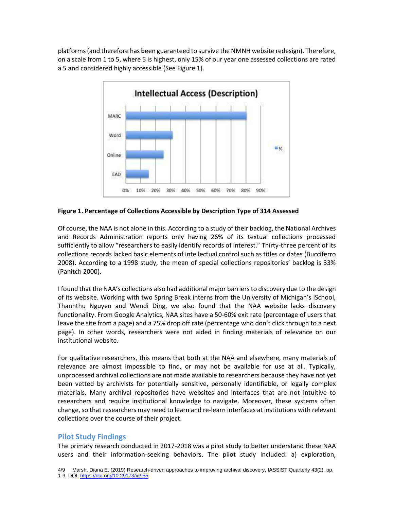platforms (and therefore has been guaranteed to survive the NMNH website redesign). Therefore, on a scale from 1 to 5, where 5 is highest, only 15% of our year one assessed collections are rated a 5 and considered highly accessible (See Figure 1).



**Figure 1. Percentage of Collections Accessible by Description Type of 314 Assessed**

Of course, the NAA is not alone in this. According to a study of their backlog, the National Archives and Records Administration reports only having 26% of its textual collections processed sufficiently to allow "researchers to easily identify records of interest." Thirty-three percent of its collections records lacked basic elements of intellectual control such as titles or dates (Bucciferro 2008). According to a 1998 study, the mean of special collections repositories' backlog is 33% (Panitch 2000).

I found that the NAA's collections also had additional major barriers to discovery due to the design of its website. Working with two Spring Break interns from the University of Michigan's iSchool, Thanhthu Nguyen and Wendi Ding, we also found that the NAA website lacks discovery functionality. From Google Analytics, NAA sites have a 50-60% exit rate (percentage of users that leave the site from a page) and a 75% drop off rate (percentage who don't click through to a next page). In other words, researchers were not aided in finding materials of relevance on our institutional website.

For qualitative researchers, this means that both at the NAA and elsewhere, many materials of relevance are almost impossible to find, or may not be available for use at all. Typically, unprocessed archival collections are not made available to researchers because they have not yet been vetted by archivists for potentially sensitive, personally identifiable, or legally complex materials. Many archival repositories have websites and interfaces that are not intuitive to researchers and require institutional knowledge to navigate. Moreover, these systems often change, so that researchers may need to learn and re-learn interfaces at institutions with relevant collections over the course of their project.

## **Pilot Study Findings**

The primary research conducted in 2017-2018 was a pilot study to better understand these NAA users and their information-seeking behaviors. The pilot study included: a) exploration,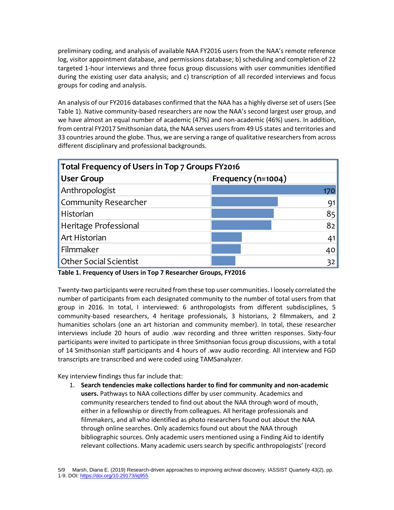preliminary coding, and analysis of available NAA FY2016 users from the NAA's remote reference log, visitor appointment database, and permissions database; b) scheduling and completion of 22 targeted 1-hour interviews and three focus group discussions with user communities identified during the existing user data analysis; and c) transcription of all recorded interviews and focus groups for coding and analysis.

An analysis of our FY2016 databases confirmed that the NAA has a highly diverse set of users (See Table 1). Native community-based researchers are now the NAA's second largest user group, and we have almost an equal number of academic (47%) and non-academic (46%) users. In addition, from central FY2017 Smithsonian data, the NAA serves users from 49 US states and territories and 33 countries around the globe. Thus, we are serving a range of qualitative researchers from across different disciplinary and professional backgrounds.

| Total Frequency of Users in Top 7 Groups FY2016 |                    |
|-------------------------------------------------|--------------------|
| <b>User Group</b>                               | Frequency (n=1004) |
| Anthropologist                                  |                    |
| Community Researcher                            |                    |
| Historian                                       | 85                 |
| Heritage Professional                           | 82                 |
| Art Historian                                   |                    |
| Filmmaker                                       | 40                 |
| <b>Other Social Scientist</b>                   |                    |

**Table 1. Frequency of Users in Top 7 Researcher Groups, FY2016**

Twenty-two participants were recruited from these top user communities. I loosely correlated the number of participants from each designated community to the number of total users from that group in 2016. In total, I interviewed: 6 anthropologists from different subdisciplines, 5 community-based researchers, 4 heritage professionals, 3 historians, 2 filmmakers, and 2 humanities scholars (one an art historian and community member). In total, these researcher interviews include 20 hours of audio .wav recording and three written responses. Sixty-four participants were invited to participate in three Smithsonian focus group discussions, with a total of 14 Smithsonian staff participants and 4 hours of .wav audio recording. All interview and FGD transcripts are transcribed and were coded using TAMSanalyzer.

Key interview findings thus far include that:

1. **Search tendencies make collections harder to find for community and non-academic users.** Pathways to NAA collections differ by user community. Academics and community researchers tended to find out about the NAA through word of mouth, either in a fellowship or directly from colleagues. All heritage professionals and filmmakers, and all who identified as photo researchers found out about the NAA through online searches. Only academics found out about the NAA through bibliographic sources. Only academic users mentioned using a Finding Aid to identify relevant collections. Many academic users search by specific anthropologists' (record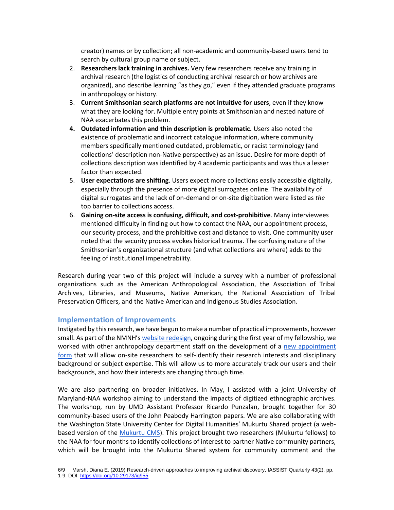creator) names or by collection; all non-academic and community-based users tend to search by cultural group name or subject.

- 2. **Researchers lack training in archives.** Very few researchers receive any training in archival research (the logistics of conducting archival research or how archives are organized), and describe learning "as they go," even if they attended graduate programs in anthropology or history.
- 3. **Current Smithsonian search platforms are not intuitive for users**, even if they know what they are looking for. Multiple entry points at Smithsonian and nested nature of NAA exacerbates this problem.
- **4. Outdated information and thin description is problematic.** Users also noted the existence of problematic and incorrect catalogue information, where community members specifically mentioned outdated, problematic, or racist terminology (and collections' description non-Native perspective) as an issue. Desire for more depth of collections description was identified by 4 academic participants and was thus a lesser factor than expected.
- 5. **User expectations are shifting**. Users expect more collections easily accessible digitally, especially through the presence of more digital surrogates online. The availability of digital surrogates and the lack of on-demand or on-site digitization were listed as *the* top barrier to collections access.
- 6. **Gaining on-site access is confusing, difficult, and cost-prohibitive**. Many interviewees mentioned difficulty in finding out how to contact the NAA, our appointment process, our security process, and the prohibitive cost and distance to visit. One community user noted that the security process evokes historical trauma. The confusing nature of the Smithsonian's organizational structure (and what collections are where) adds to the feeling of institutional impenetrability.

Research during year two of this project will include a survey with a number of professional organizations such as the American Anthropological Association, the Association of Tribal Archives, Libraries, and Museums, Native American, the National Association of Tribal Preservation Officers, and the Native American and Indigenous Studies Association.

### **Implementation of Improvements**

Instigated by this research, we have begun to make a number of practical improvements, however small. As part of the NMNH's [website redesign,](https://naturalhistory.si.edu/research/anthropology) ongoing during the first year of my fellowship, we worked with other anthropology department staff on the development of a new appointment [form](https://naturalhistory.si.edu/research/anthropology/collections-and-archives-access/anthropology-collections-appointment-request) that will allow on-site researchers to self-identify their research interests and disciplinary background or subject expertise. This will allow us to more accurately track our users and their backgrounds, and how their interests are changing through time.

We are also partnering on broader initiatives. In May, I assisted with a joint University of Maryland-NAA workshop aiming to understand the impacts of digitized ethnographic archives. The workshop, run by UMD Assistant Professor Ricardo Punzalan, brought together for 30 community-based users of the John Peabody Harrington papers. We are also collaborating with the Washington State University Center for Digital Humanities' Mukurtu Shared project (a webbased version of the [Mukurtu CMS\)](http://mukurtu.org/). This project brought two researchers (Mukurtu fellows) to the NAA for four months to identify collections of interest to partner Native community partners, which will be brought into the Mukurtu Shared system for community comment and the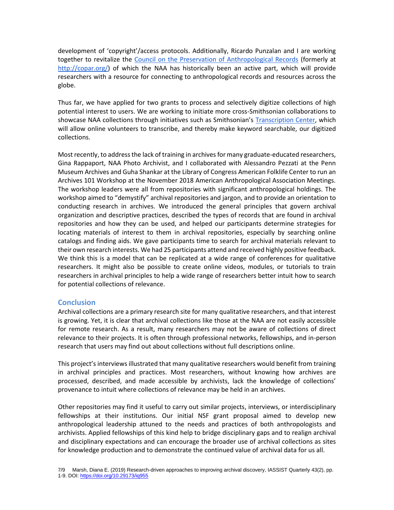development of 'copyright'/access protocols. Additionally, Ricardo Punzalan and I are working together to revitalize the [Council on the Preservation of Anthropological Records](http://copar.umd.edu/) (formerly at [http://copar.org/\)](http://copar.org/) of which the NAA has historically been an active part, which will provide researchers with a resource for connecting to anthropological records and resources across the globe.

Thus far, we have applied for two grants to process and selectively digitize collections of high potential interest to users. We are working to initiate more cross-Smithsonian collaborations to showcase NAA collections through initiatives such as Smithsonian's [Transcription Center,](https://transcription.si.edu/) which will allow online volunteers to transcribe, and thereby make keyword searchable, our digitized collections.

Most recently, to address the lack of training in archives for many graduate-educated researchers, Gina Rappaport, NAA Photo Archivist, and I collaborated with Alessandro Pezzati at the Penn Museum Archives and Guha Shankar at the Library of Congress American Folklife Center to run an Archives 101 Workshop at the November 2018 American Anthropological Association Meetings. The workshop leaders were all from repositories with significant anthropological holdings. The workshop aimed to "demystify" archival repositories and jargon, and to provide an orientation to conducting research in archives. We introduced the general principles that govern archival organization and descriptive practices, described the types of records that are found in archival repositories and how they can be used, and helped our participants determine strategies for locating materials of interest to them in archival repositories, especially by searching online catalogs and finding aids. We gave participants time to search for archival materials relevant to their own research interests. We had 25 participants attend and received highly positive feedback. We think this is a model that can be replicated at a wide range of conferences for qualitative researchers. It might also be possible to create online videos, modules, or tutorials to train researchers in archival principles to help a wide range of researchers better intuit how to search for potential collections of relevance.

## **Conclusion**

Archival collections are a primary research site for many qualitative researchers, and that interest is growing. Yet, it is clear that archival collections like those at the NAA are not easily accessible for remote research. As a result, many researchers may not be aware of collections of direct relevance to their projects. It is often through professional networks, fellowships, and in-person research that users may find out about collections without full descriptions online.

This project's interviews illustrated that many qualitative researchers would benefit from training in archival principles and practices. Most researchers, without knowing how archives are processed, described, and made accessible by archivists, lack the knowledge of collections' provenance to intuit where collections of relevance may be held in an archives.

Other repositories may find it useful to carry out similar projects, interviews, or interdisciplinary fellowships at their institutions. Our initial NSF grant proposal aimed to develop new anthropological leadership attuned to the needs and practices of both anthropologists and archivists. Applied fellowships of this kind help to bridge disciplinary gaps and to realign archival and disciplinary expectations and can encourage the broader use of archival collections as sites for knowledge production and to demonstrate the continued value of archival data for us all.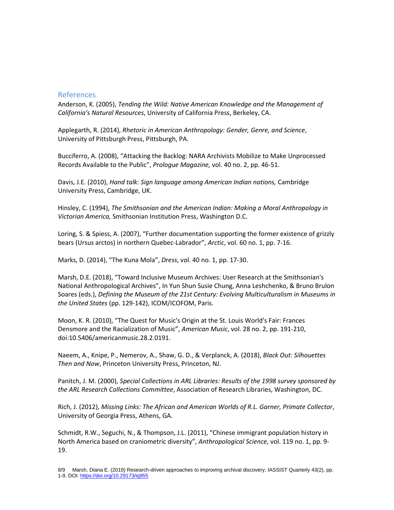### References

Anderson, K. (2005), *Tending the Wild: Native American Knowledge and the Management of California's Natural Resources*, University of California Press, Berkeley, CA.

Applegarth, R. (2014), *Rhetoric in American Anthropology: Gender, Genre, and Science*, University of Pittsburgh Press, Pittsburgh, PA.

Bucciferro, A. (2008), "Attacking the Backlog: NARA Archivists Mobilize to Make Unprocessed Records Available to the Public", *Prologue Magazine,* vol. 40 no. 2, pp. 46-51.

Davis, J.E. (2010), *Hand talk: Sign language among American Indian nations,* Cambridge University Press, Cambridge, UK.

Hinsley, C. (1994), *The Smithsonian and the American Indian: Making a Moral Anthropology in Victorian America,* Smithsonian Institution Press, Washington D.C.

Loring, S. & Spiess, A. (2007), "Further documentation supporting the former existence of grizzly bears (Ursus arctos) in northern Quebec-Labrador", *Arctic*, vol. 60 no. 1, pp. 7-16.

Marks, D. (2014), "The Kuna Mola", *Dress*, vol. 40 no. 1, pp. 17-30.

Marsh, D.E. (2018), "Toward Inclusive Museum Archives: User Research at the Smithsonian's National Anthropological Archives", In Yun Shun Susie Chung, Anna Leshchenko, & Bruno Brulon Soares (eds.), *Defining the Museum of the 21st Century: Evolving Multiculturalism in Museums in the United States* (pp. 129-142), ICOM/ICOFOM, Paris.

Moon, K. R. (2010), "The Quest for Music's Origin at the St. Louis World's Fair: Frances Densmore and the Racialization of Music", *American Music*, vol. 28 no. 2, pp. 191-210, doi:10.5406/americanmusic.28.2.0191.

Naeem, A., Knipe, P., Nemerov, A., Shaw, G. D., & Verplanck, A. (2018), *Black Out: Silhouettes Then and Now*, Princeton University Press, Princeton, NJ.

Panitch, J. M. (2000), *Special Collections in ARL Libraries: Results of the 1998 survey sponsored by the ARL Research Collections Committee*, Association of Research Libraries, Washington, DC.

Rich, J. (2012), *Missing Links: The African and American Worlds of R.L. Garner, Primate Collector*, University of Georgia Press, Athens, GA.

Schmidt, R.W., Seguchi, N., & Thompson, J.L. (2011), "Chinese immigrant population history in North America based on craniometric diversity", *Anthropological Science,* vol. 119 no. 1, pp. 9- 19.

<sup>8/9</sup> Marsh, Diana E. (2019) Research-driven approaches to improving archival discovery, IASSIST Quarterly 43(2), pp. 1-9. DOI[: https://doi.org/10.29173/iq955](https://doi.org/10.29173/iq955)